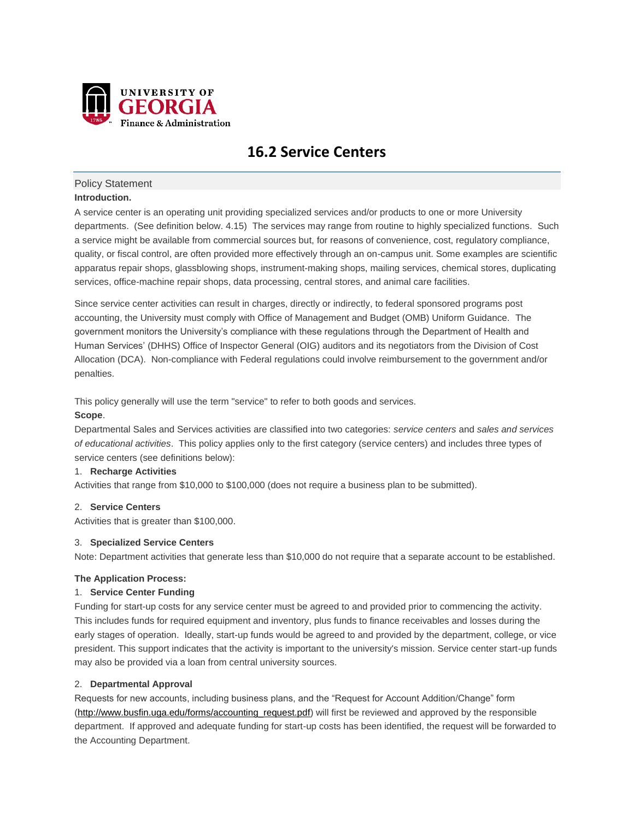

# **16.2 Service Centers**

# Policy Statement

## **Introduction.**

A service center is an operating unit providing specialized services and/or products to one or more University departments. (See definition below. 4.15) The services may range from routine to highly specialized functions. Such a service might be available from commercial sources but, for reasons of convenience, cost, regulatory compliance, quality, or fiscal control, are often provided more effectively through an on-campus unit. Some examples are scientific apparatus repair shops, glassblowing shops, instrument-making shops, mailing services, chemical stores, duplicating services, office-machine repair shops, data processing, central stores, and animal care facilities.

Since service center activities can result in charges, directly or indirectly, to federal sponsored programs post accounting, the University must comply with Office of Management and Budget (OMB) Uniform Guidance. The government monitors the University's compliance with these regulations through the Department of Health and Human Services' (DHHS) Office of Inspector General (OIG) auditors and its negotiators from the Division of Cost Allocation (DCA). Non-compliance with Federal regulations could involve reimbursement to the government and/or penalties.

This policy generally will use the term "service" to refer to both goods and services.

# **Scope**.

Departmental Sales and Services activities are classified into two categories: *service centers* and *sales and services of educational activities*. This policy applies only to the first category (service centers) and includes three types of service centers (see definitions below):

# 1. **Recharge Activities**

Activities that range from \$10,000 to \$100,000 (does not require a business plan to be submitted).

## 2. **Service Centers**

Activities that is greater than \$100,000.

## 3. **Specialized Service Centers**

Note: Department activities that generate less than \$10,000 do not require that a separate account to be established.

# **The Application Process:**

## 1. **Service Center Funding**

Funding for start-up costs for any service center must be agreed to and provided prior to commencing the activity. This includes funds for required equipment and inventory, plus funds to finance receivables and losses during the early stages of operation. Ideally, start-up funds would be agreed to and provided by the department, college, or vice president. This support indicates that the activity is important to the university's mission. Service center start-up funds may also be provided via a loan from central university sources.

# 2. **Departmental Approval**

Requests for new accounts, including business plans, and the "Request for Account Addition/Change" form [\(http://www.busfin.uga.edu/forms/accounting\\_request.pdf\)](http://www.busfin.uga.edu/forms/accounting_request.pdf) will first be reviewed and approved by the responsible department. If approved and adequate funding for start-up costs has been identified, the request will be forwarded to the Accounting Department.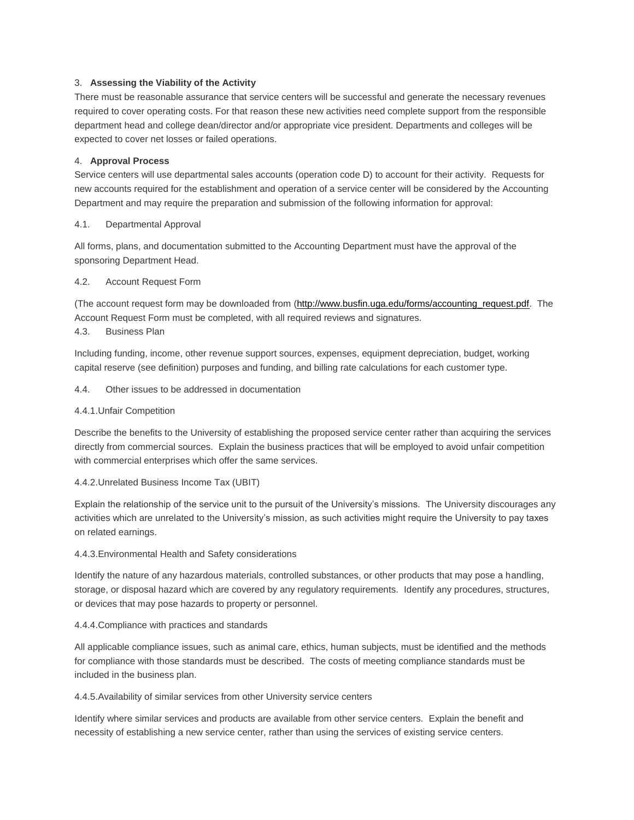# 3. **Assessing the Viability of the Activity**

There must be reasonable assurance that service centers will be successful and generate the necessary revenues required to cover operating costs. For that reason these new activities need complete support from the responsible department head and college dean/director and/or appropriate vice president. Departments and colleges will be expected to cover net losses or failed operations.

## 4. **Approval Process**

Service centers will use departmental sales accounts (operation code D) to account for their activity. Requests for new accounts required for the establishment and operation of a service center will be considered by the Accounting Department and may require the preparation and submission of the following information for approval:

## 4.1. Departmental Approval

All forms, plans, and documentation submitted to the Accounting Department must have the approval of the sponsoring Department Head.

## 4.2. Account Request Form

(The account request form may be downloaded from [\(http://www.busfin.uga.edu/forms/accounting\\_request.pdf.](http://www.busfin.uga.edu/forms/accounting_request.pdf) The Account Request Form must be completed, with all required reviews and signatures.

# 4.3. Business Plan

Including funding, income, other revenue support sources, expenses, equipment depreciation, budget, working capital reserve (see definition) purposes and funding, and billing rate calculations for each customer type.

4.4. Other issues to be addressed in documentation

## 4.4.1.Unfair Competition

Describe the benefits to the University of establishing the proposed service center rather than acquiring the services directly from commercial sources. Explain the business practices that will be employed to avoid unfair competition with commercial enterprises which offer the same services.

## 4.4.2.Unrelated Business Income Tax (UBIT)

Explain the relationship of the service unit to the pursuit of the University's missions. The University discourages any activities which are unrelated to the University's mission, as such activities might require the University to pay taxes on related earnings.

## 4.4.3.Environmental Health and Safety considerations

Identify the nature of any hazardous materials, controlled substances, or other products that may pose a handling, storage, or disposal hazard which are covered by any regulatory requirements. Identify any procedures, structures, or devices that may pose hazards to property or personnel.

## 4.4.4.Compliance with practices and standards

All applicable compliance issues, such as animal care, ethics, human subjects, must be identified and the methods for compliance with those standards must be described. The costs of meeting compliance standards must be included in the business plan.

## 4.4.5.Availability of similar services from other University service centers

Identify where similar services and products are available from other service centers. Explain the benefit and necessity of establishing a new service center, rather than using the services of existing service centers.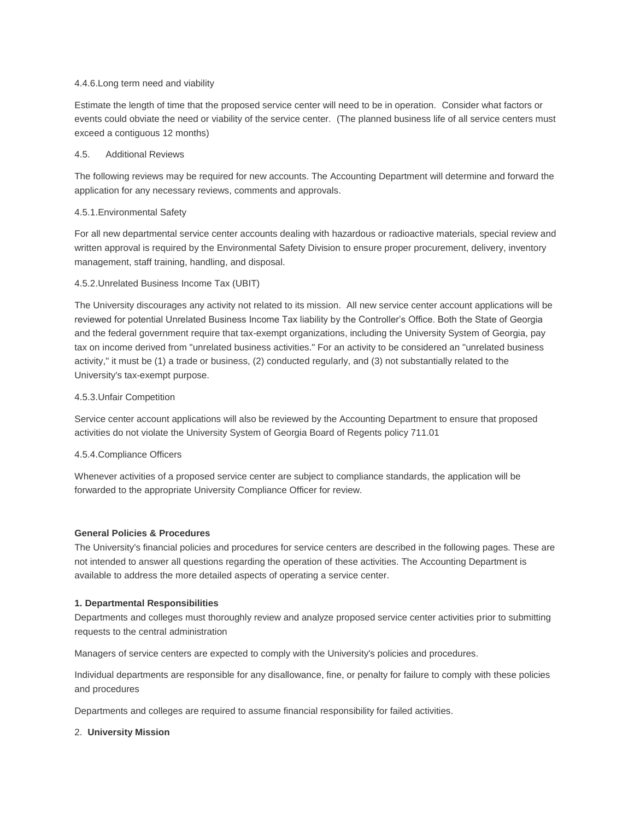#### 4.4.6.Long term need and viability

Estimate the length of time that the proposed service center will need to be in operation. Consider what factors or events could obviate the need or viability of the service center. (The planned business life of all service centers must exceed a contiguous 12 months)

## 4.5. Additional Reviews

The following reviews may be required for new accounts. The Accounting Department will determine and forward the application for any necessary reviews, comments and approvals.

#### 4.5.1.Environmental Safety

For all new departmental service center accounts dealing with hazardous or radioactive materials, special review and written approval is required by the Environmental Safety Division to ensure proper procurement, delivery, inventory management, staff training, handling, and disposal.

#### 4.5.2.Unrelated Business Income Tax (UBIT)

The University discourages any activity not related to its mission. All new service center account applications will be reviewed for potential Unrelated Business Income Tax liability by the Controller's Office. Both the State of Georgia and the federal government require that tax-exempt organizations, including the University System of Georgia, pay tax on income derived from "unrelated business activities." For an activity to be considered an "unrelated business activity," it must be (1) a trade or business, (2) conducted regularly, and (3) not substantially related to the University's tax-exempt purpose.

#### 4.5.3.Unfair Competition

Service center account applications will also be reviewed by the Accounting Department to ensure that proposed activities do not violate the University System of Georgia Board of Regents policy 711.01

## 4.5.4.Compliance Officers

Whenever activities of a proposed service center are subject to compliance standards, the application will be forwarded to the appropriate University Compliance Officer for review.

#### **General Policies & Procedures**

The University's financial policies and procedures for service centers are described in the following pages. These are not intended to answer all questions regarding the operation of these activities. The Accounting Department is available to address the more detailed aspects of operating a service center.

## **1. Departmental Responsibilities**

Departments and colleges must thoroughly review and analyze proposed service center activities prior to submitting requests to the central administration

Managers of service centers are expected to comply with the University's policies and procedures.

Individual departments are responsible for any disallowance, fine, or penalty for failure to comply with these policies and procedures

Departments and colleges are required to assume financial responsibility for failed activities.

#### 2. **University Mission**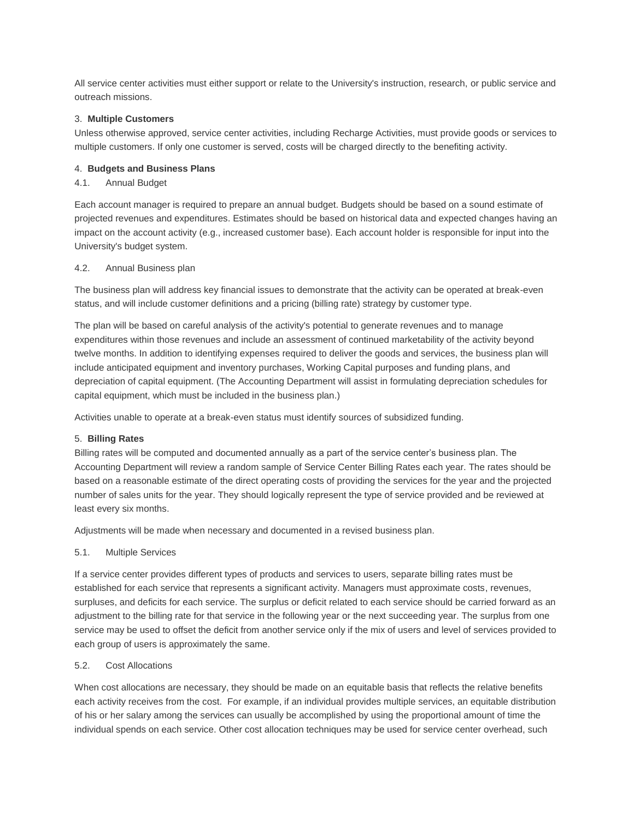All service center activities must either support or relate to the University's instruction, research, or public service and outreach missions.

#### 3. **Multiple Customers**

Unless otherwise approved, service center activities, including Recharge Activities, must provide goods or services to multiple customers. If only one customer is served, costs will be charged directly to the benefiting activity.

#### 4. **Budgets and Business Plans**

# 4.1. Annual Budget

Each account manager is required to prepare an annual budget. Budgets should be based on a sound estimate of projected revenues and expenditures. Estimates should be based on historical data and expected changes having an impact on the account activity (e.g., increased customer base). Each account holder is responsible for input into the University's budget system.

#### 4.2. Annual Business plan

The business plan will address key financial issues to demonstrate that the activity can be operated at break-even status, and will include customer definitions and a pricing (billing rate) strategy by customer type.

The plan will be based on careful analysis of the activity's potential to generate revenues and to manage expenditures within those revenues and include an assessment of continued marketability of the activity beyond twelve months. In addition to identifying expenses required to deliver the goods and services, the business plan will include anticipated equipment and inventory purchases, Working Capital purposes and funding plans, and depreciation of capital equipment. (The Accounting Department will assist in formulating depreciation schedules for capital equipment, which must be included in the business plan.)

Activities unable to operate at a break-even status must identify sources of subsidized funding.

### 5. **Billing Rates**

Billing rates will be computed and documented annually as a part of the service center's business plan. The Accounting Department will review a random sample of Service Center Billing Rates each year. The rates should be based on a reasonable estimate of the direct operating costs of providing the services for the year and the projected number of sales units for the year. They should logically represent the type of service provided and be reviewed at least every six months.

Adjustments will be made when necessary and documented in a revised business plan.

#### 5.1. Multiple Services

If a service center provides different types of products and services to users, separate billing rates must be established for each service that represents a significant activity. Managers must approximate costs, revenues, surpluses, and deficits for each service. The surplus or deficit related to each service should be carried forward as an adjustment to the billing rate for that service in the following year or the next succeeding year. The surplus from one service may be used to offset the deficit from another service only if the mix of users and level of services provided to each group of users is approximately the same.

#### 5.2. Cost Allocations

When cost allocations are necessary, they should be made on an equitable basis that reflects the relative benefits each activity receives from the cost. For example, if an individual provides multiple services, an equitable distribution of his or her salary among the services can usually be accomplished by using the proportional amount of time the individual spends on each service. Other cost allocation techniques may be used for service center overhead, such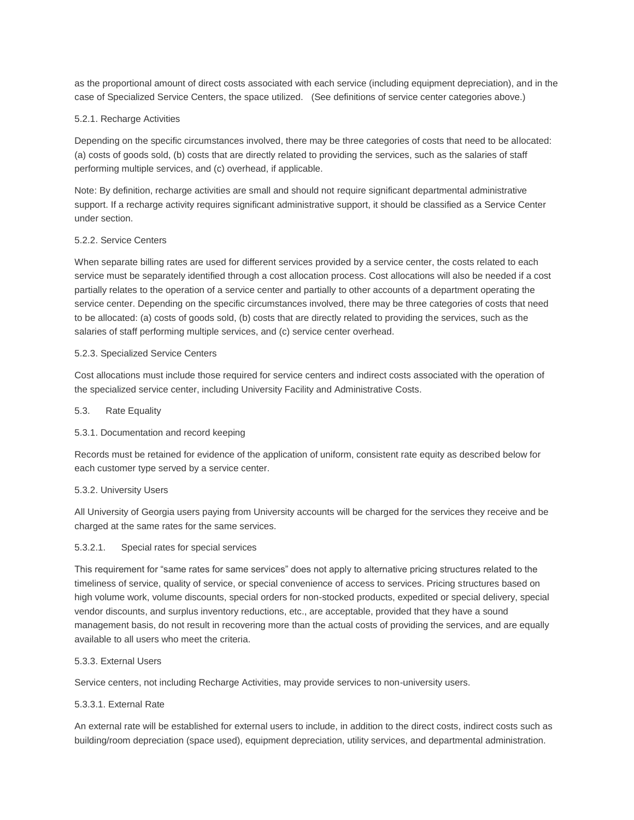as the proportional amount of direct costs associated with each service (including equipment depreciation), and in the case of Specialized Service Centers, the space utilized. (See definitions of service center categories above.)

# 5.2.1. Recharge Activities

Depending on the specific circumstances involved, there may be three categories of costs that need to be allocated: (a) costs of goods sold, (b) costs that are directly related to providing the services, such as the salaries of staff performing multiple services, and (c) overhead, if applicable.

Note: By definition, recharge activities are small and should not require significant departmental administrative support. If a recharge activity requires significant administrative support, it should be classified as a Service Center under section.

# 5.2.2. Service Centers

When separate billing rates are used for different services provided by a service center, the costs related to each service must be separately identified through a cost allocation process. Cost allocations will also be needed if a cost partially relates to the operation of a service center and partially to other accounts of a department operating the service center. Depending on the specific circumstances involved, there may be three categories of costs that need to be allocated: (a) costs of goods sold, (b) costs that are directly related to providing the services, such as the salaries of staff performing multiple services, and (c) service center overhead.

#### 5.2.3. Specialized Service Centers

Cost allocations must include those required for service centers and indirect costs associated with the operation of the specialized service center, including University Facility and Administrative Costs.

#### 5.3. Rate Equality

## 5.3.1. Documentation and record keeping

Records must be retained for evidence of the application of uniform, consistent rate equity as described below for each customer type served by a service center.

#### 5.3.2. University Users

All University of Georgia users paying from University accounts will be charged for the services they receive and be charged at the same rates for the same services.

#### 5.3.2.1. Special rates for special services

This requirement for "same rates for same services" does not apply to alternative pricing structures related to the timeliness of service, quality of service, or special convenience of access to services. Pricing structures based on high volume work, volume discounts, special orders for non-stocked products, expedited or special delivery, special vendor discounts, and surplus inventory reductions, etc., are acceptable, provided that they have a sound management basis, do not result in recovering more than the actual costs of providing the services, and are equally available to all users who meet the criteria.

#### 5.3.3. External Users

Service centers, not including Recharge Activities, may provide services to non-university users.

## 5.3.3.1. External Rate

An external rate will be established for external users to include, in addition to the direct costs, indirect costs such as building/room depreciation (space used), equipment depreciation, utility services, and departmental administration.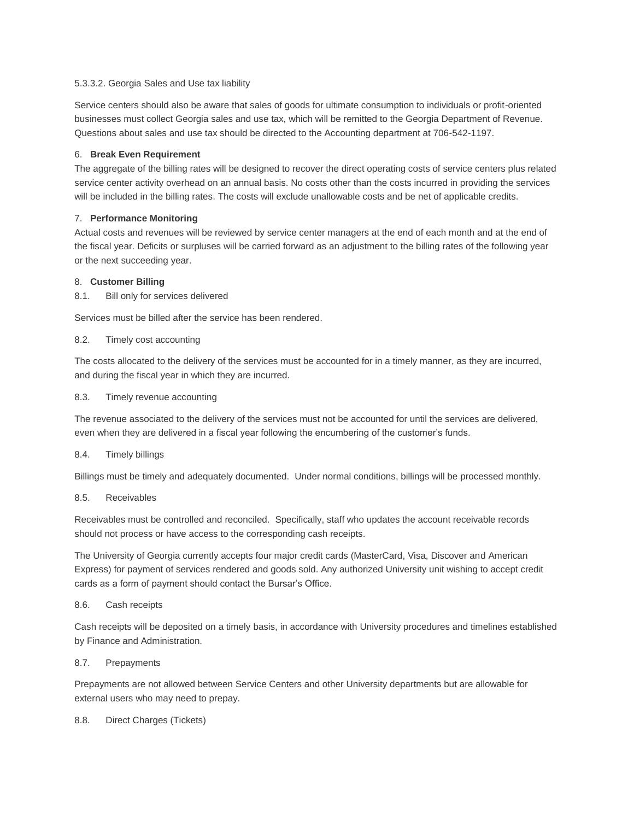# 5.3.3.2. Georgia Sales and Use tax liability

Service centers should also be aware that sales of goods for ultimate consumption to individuals or profit-oriented businesses must collect Georgia sales and use tax, which will be remitted to the Georgia Department of Revenue. Questions about sales and use tax should be directed to the Accounting department at 706-542-1197.

# 6. **Break Even Requirement**

The aggregate of the billing rates will be designed to recover the direct operating costs of service centers plus related service center activity overhead on an annual basis. No costs other than the costs incurred in providing the services will be included in the billing rates. The costs will exclude unallowable costs and be net of applicable credits.

# 7. **Performance Monitoring**

Actual costs and revenues will be reviewed by service center managers at the end of each month and at the end of the fiscal year. Deficits or surpluses will be carried forward as an adjustment to the billing rates of the following year or the next succeeding year.

# 8. **Customer Billing**

8.1. Bill only for services delivered

Services must be billed after the service has been rendered.

8.2. Timely cost accounting

The costs allocated to the delivery of the services must be accounted for in a timely manner, as they are incurred, and during the fiscal year in which they are incurred.

8.3. Timely revenue accounting

The revenue associated to the delivery of the services must not be accounted for until the services are delivered, even when they are delivered in a fiscal year following the encumbering of the customer's funds.

## 8.4. Timely billings

Billings must be timely and adequately documented. Under normal conditions, billings will be processed monthly.

## 8.5. Receivables

Receivables must be controlled and reconciled. Specifically, staff who updates the account receivable records should not process or have access to the corresponding cash receipts.

The University of Georgia currently accepts four major credit cards (MasterCard, Visa, Discover and American Express) for payment of services rendered and goods sold. Any authorized University unit wishing to accept credit cards as a form of payment should contact the Bursar's Office.

## 8.6. Cash receipts

Cash receipts will be deposited on a timely basis, in accordance with University procedures and timelines established by Finance and Administration.

## 8.7. Prepayments

Prepayments are not allowed between Service Centers and other University departments but are allowable for external users who may need to prepay.

## 8.8. Direct Charges (Tickets)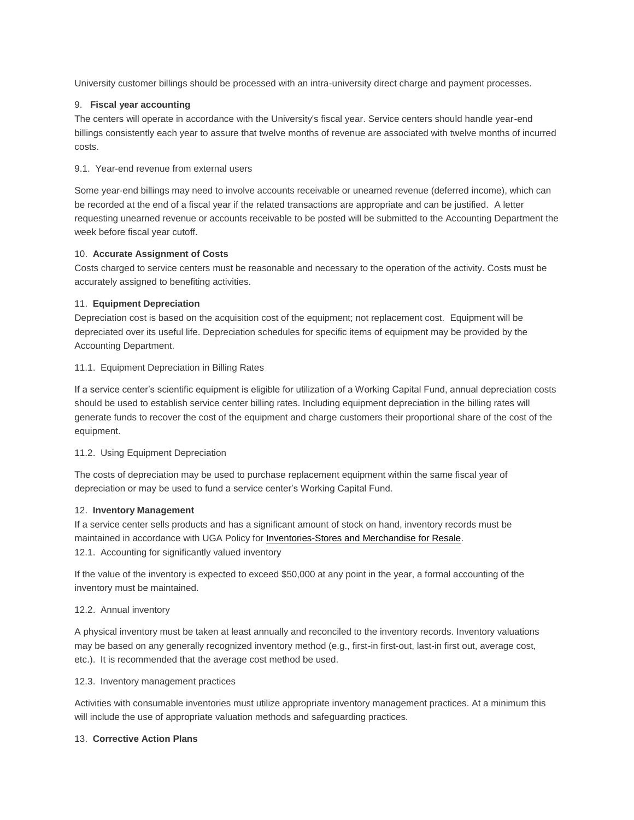University customer billings should be processed with an intra-university direct charge and payment processes.

# 9. **Fiscal year accounting**

The centers will operate in accordance with the University's fiscal year. Service centers should handle year-end billings consistently each year to assure that twelve months of revenue are associated with twelve months of incurred costs.

# 9.1. Year-end revenue from external users

Some year-end billings may need to involve accounts receivable or unearned revenue (deferred income), which can be recorded at the end of a fiscal year if the related transactions are appropriate and can be justified. A letter requesting unearned revenue or accounts receivable to be posted will be submitted to the Accounting Department the week before fiscal year cutoff.

# 10. **Accurate Assignment of Costs**

Costs charged to service centers must be reasonable and necessary to the operation of the activity. Costs must be accurately assigned to benefiting activities.

# 11. **Equipment Depreciation**

Depreciation cost is based on the acquisition cost of the equipment; not replacement cost. Equipment will be depreciated over its useful life. Depreciation schedules for specific items of equipment may be provided by the Accounting Department.

# 11.1. Equipment Depreciation in Billing Rates

If a service center's scientific equipment is eligible for utilization of a Working Capital Fund, annual depreciation costs should be used to establish service center billing rates. Including equipment depreciation in the billing rates will generate funds to recover the cost of the equipment and charge customers their proportional share of the cost of the equipment.

## 11.2. Using Equipment Depreciation

The costs of depreciation may be used to purchase replacement equipment within the same fiscal year of depreciation or may be used to fund a service center's Working Capital Fund.

## 12. **Inventory Management**

If a service center sells products and has a significant amount of stock on hand, inventory records must be maintained in accordance with UGA Policy for [Inventories-Stores](http://policies.uga.edu/FA/nodes/view/829/Inventories-Stores-and-Merchandise-for-Resale) and Merchandise for Resale. 12.1. Accounting for significantly valued inventory

If the value of the inventory is expected to exceed \$50,000 at any point in the year, a formal accounting of the inventory must be maintained.

## 12.2. Annual inventory

A physical inventory must be taken at least annually and reconciled to the inventory records. Inventory valuations may be based on any generally recognized inventory method (e.g., first-in first-out, last-in first out, average cost, etc.). It is recommended that the average cost method be used.

## 12.3. Inventory management practices

Activities with consumable inventories must utilize appropriate inventory management practices. At a minimum this will include the use of appropriate valuation methods and safeguarding practices.

## 13. **Corrective Action Plans**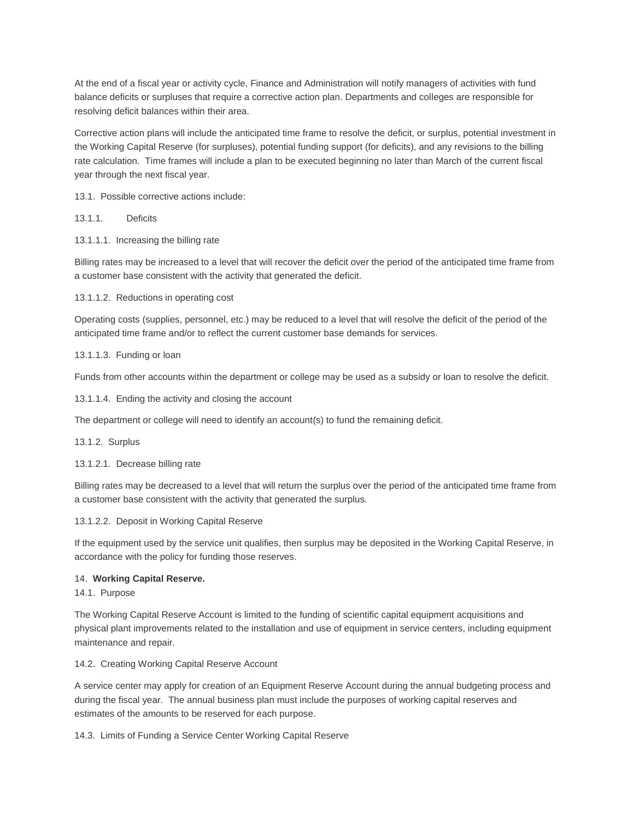At the end of a fiscal year or activity cycle, Finance and Administration will notify managers of activities with fund balance deficits or surpluses that require a corrective action plan. Departments and colleges are responsible for resolving deficit balances within their area.

Corrective action plans will include the anticipated time frame to resolve the deficit, or surplus, potential investment in the Working Capital Reserve (for surpluses), potential funding support (for deficits), and any revisions to the billing rate calculation. Time frames will include a plan to be executed beginning no later than March of the current fiscal year through the next fiscal year.

13.1. Possible corrective actions include:

13.1.1. Deficits

13.1.1.1. Increasing the billing rate

Billing rates may be increased to a level that will recover the deficit over the period of the anticipated time frame from a customer base consistent with the activity that generated the deficit.

13.1.1.2. Reductions in operating cost

Operating costs (supplies, personnel, etc.) may be reduced to a level that will resolve the deficit of the period of the anticipated time frame and/or to reflect the current customer base demands for services.

13.1.1.3. Funding or loan

Funds from other accounts within the department or college may be used as a subsidy or loan to resolve the deficit.

13.1.1.4. Ending the activity and closing the account

The department or college will need to identify an account(s) to fund the remaining deficit.

13.1.2. Surplus

13.1.2.1. Decrease billing rate

Billing rates may be decreased to a level that will return the surplus over the period of the anticipated time frame from a customer base consistent with the activity that generated the surplus.

13.1.2.2. Deposit in Working Capital Reserve

If the equipment used by the service unit qualifies, then surplus may be deposited in the Working Capital Reserve, in accordance with the policy for funding those reserves.

## 14. **Working Capital Reserve.**

14.1. Purpose

The Working Capital Reserve Account is limited to the funding of scientific capital equipment acquisitions and physical plant improvements related to the installation and use of equipment in service centers, including equipment maintenance and repair.

14.2. Creating Working Capital Reserve Account

A service center may apply for creation of an Equipment Reserve Account during the annual budgeting process and during the fiscal year. The annual business plan must include the purposes of working capital reserves and estimates of the amounts to be reserved for each purpose.

14.3. Limits of Funding a Service Center Working Capital Reserve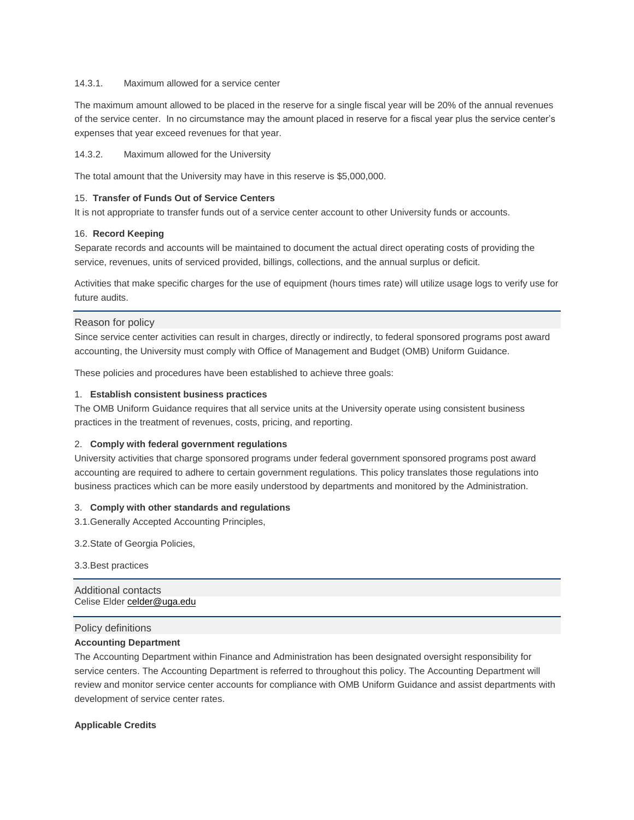## 14.3.1. Maximum allowed for a service center

The maximum amount allowed to be placed in the reserve for a single fiscal year will be 20% of the annual revenues of the service center. In no circumstance may the amount placed in reserve for a fiscal year plus the service center's expenses that year exceed revenues for that year.

# 14.3.2. Maximum allowed for the University

The total amount that the University may have in this reserve is \$5,000,000.

## 15. **Transfer of Funds Out of Service Centers**

It is not appropriate to transfer funds out of a service center account to other University funds or accounts.

# 16. **Record Keeping**

Separate records and accounts will be maintained to document the actual direct operating costs of providing the service, revenues, units of serviced provided, billings, collections, and the annual surplus or deficit.

Activities that make specific charges for the use of equipment (hours times rate) will utilize usage logs to verify use for future audits.

# Reason for policy

Since service center activities can result in charges, directly or indirectly, to federal sponsored programs post award accounting, the University must comply with Office of Management and Budget (OMB) Uniform Guidance.

These policies and procedures have been established to achieve three goals:

## 1. **Establish consistent business practices**

The OMB Uniform Guidance requires that all service units at the University operate using consistent business practices in the treatment of revenues, costs, pricing, and reporting.

## 2. **Comply with federal government regulations**

University activities that charge sponsored programs under federal government sponsored programs post award accounting are required to adhere to certain government regulations. This policy translates those regulations into business practices which can be more easily understood by departments and monitored by the Administration.

## 3. **Comply with other standards and regulations**

3.1.Generally Accepted Accounting Principles,

3.2.State of Georgia Policies,

3.3.Best practices

Additional contacts Celise Elder [celder@uga.edu](mailto:celder@uga.edu)

## Policy definitions

## **Accounting Department**

The Accounting Department within Finance and Administration has been designated oversight responsibility for service centers. The Accounting Department is referred to throughout this policy. The Accounting Department will review and monitor service center accounts for compliance with OMB Uniform Guidance and assist departments with development of service center rates.

## **Applicable Credits**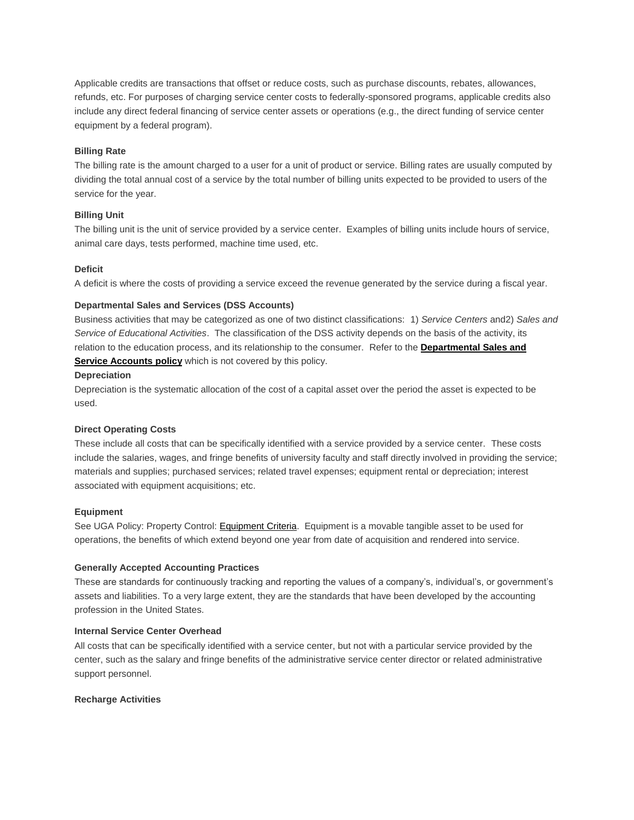Applicable credits are transactions that offset or reduce costs, such as purchase discounts, rebates, allowances, refunds, etc. For purposes of charging service center costs to federally-sponsored programs, applicable credits also include any direct federal financing of service center assets or operations (e.g., the direct funding of service center equipment by a federal program).

#### **Billing Rate**

The billing rate is the amount charged to a user for a unit of product or service. Billing rates are usually computed by dividing the total annual cost of a service by the total number of billing units expected to be provided to users of the service for the year.

#### **Billing Unit**

The billing unit is the unit of service provided by a service center. Examples of billing units include hours of service, animal care days, tests performed, machine time used, etc.

## **Deficit**

A deficit is where the costs of providing a service exceed the revenue generated by the service during a fiscal year.

#### **Departmental Sales and Services (DSS Accounts)**

Business activities that may be categorized as one of two distinct classifications: 1) *Service Centers* and2) *Sales and Service of Educational Activities*. The classification of the DSS activity depends on the basis of the activity, its relation to the education process, and its relationship to the consumer. Refer to the **[Departmental](http://policies.uga.edu/FA/nodes/view/919/Departmental-Sales-and-Services-Acccounts) Sales and Service [Accounts](http://policies.uga.edu/FA/nodes/view/919/Departmental-Sales-and-Services-Acccounts) policy** which is not covered by this policy.

#### **Depreciation**

Depreciation is the systematic allocation of the cost of a capital asset over the period the asset is expected to be used.

#### **Direct Operating Costs**

These include all costs that can be specifically identified with a service provided by a service center. These costs include the salaries, wages, and fringe benefits of university faculty and staff directly involved in providing the service; materials and supplies; purchased services; related travel expenses; equipment rental or depreciation; interest associated with equipment acquisitions; etc.

#### **Equipment**

See UGA Policy: Property Control: [Equipment](http://policies.uga.edu/FA/nodes/view/891/Major-Categories-of-Equipment) Criteria. Equipment is a movable tangible asset to be used for operations, the benefits of which extend beyond one year from date of acquisition and rendered into service.

#### **Generally Accepted Accounting Practices**

These are standards for continuously tracking and reporting the values of a company's, individual's, or government's assets and liabilities. To a very large extent, they are the standards that have been developed by the accounting profession in the United States.

#### **Internal Service Center Overhead**

All costs that can be specifically identified with a service center, but not with a particular service provided by the center, such as the salary and fringe benefits of the administrative service center director or related administrative support personnel.

#### **Recharge Activities**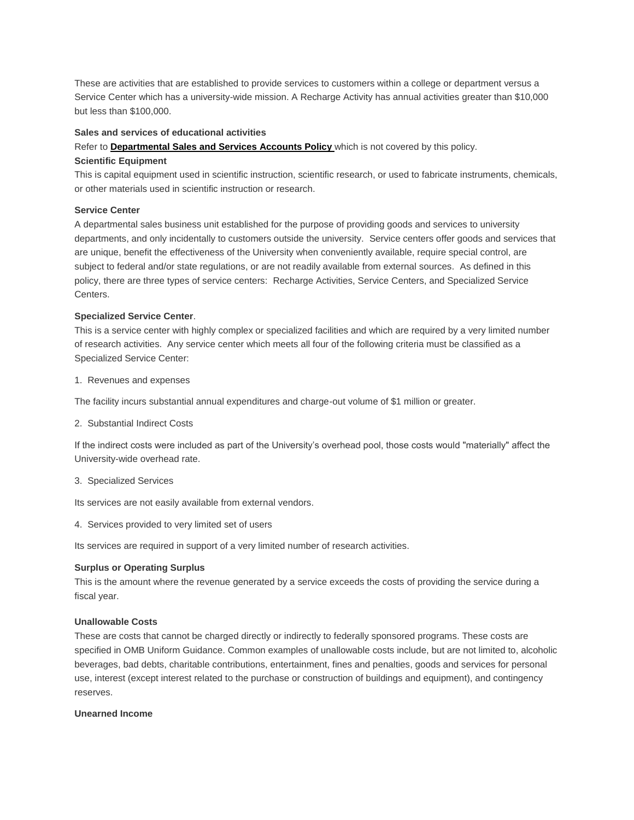These are activities that are established to provide services to customers within a college or department versus a Service Center which has a university-wide mission. A Recharge Activity has annual activities greater than \$10,000 but less than \$100,000.

#### **Sales and services of educational activities**

Refer to **[Departmental](http://policies.uga.edu/FA/nodes/view/919/Departmental-Sales-and-Services-Acccounts) Sales and Services Accounts Policy** which is not covered by this policy.

#### **Scientific Equipment**

This is capital equipment used in scientific instruction, scientific research, or used to fabricate instruments, chemicals, or other materials used in scientific instruction or research.

#### **Service Center**

A departmental sales business unit established for the purpose of providing goods and services to university departments, and only incidentally to customers outside the university. Service centers offer goods and services that are unique, benefit the effectiveness of the University when conveniently available, require special control, are subject to federal and/or state regulations, or are not readily available from external sources. As defined in this policy, there are three types of service centers: Recharge Activities, Service Centers, and Specialized Service Centers.

#### **Specialized Service Center**.

This is a service center with highly complex or specialized facilities and which are required by a very limited number of research activities. Any service center which meets all four of the following criteria must be classified as a Specialized Service Center:

1. Revenues and expenses

The facility incurs substantial annual expenditures and charge-out volume of \$1 million or greater.

2. Substantial Indirect Costs

If the indirect costs were included as part of the University's overhead pool, those costs would "materially" affect the University-wide overhead rate.

3. Specialized Services

Its services are not easily available from external vendors.

4. Services provided to very limited set of users

Its services are required in support of a very limited number of research activities.

## **Surplus or Operating Surplus**

This is the amount where the revenue generated by a service exceeds the costs of providing the service during a fiscal year.

# **Unallowable Costs**

These are costs that cannot be charged directly or indirectly to federally sponsored programs. These costs are specified in OMB Uniform Guidance. Common examples of unallowable costs include, but are not limited to, alcoholic beverages, bad debts, charitable contributions, entertainment, fines and penalties, goods and services for personal use, interest (except interest related to the purchase or construction of buildings and equipment), and contingency reserves.

#### **Unearned Income**